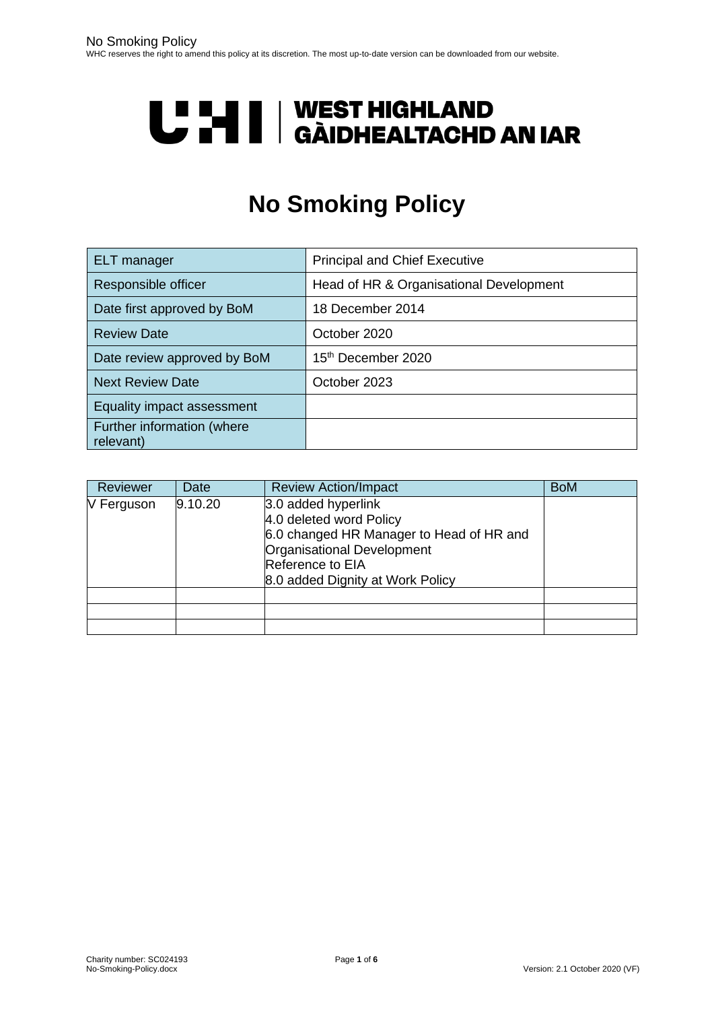# **U LI | WEST HIGHLAND<br>U LI | GÀIDHEALTACHD AN IAR**

# **No Smoking Policy**

| ELT manager                             | <b>Principal and Chief Executive</b>    |  |
|-----------------------------------------|-----------------------------------------|--|
| Responsible officer                     | Head of HR & Organisational Development |  |
| Date first approved by BoM              | 18 December 2014                        |  |
| <b>Review Date</b>                      | October 2020                            |  |
| Date review approved by BoM             | 15 <sup>th</sup> December 2020          |  |
| <b>Next Review Date</b>                 | October 2023                            |  |
| Equality impact assessment              |                                         |  |
| Further information (where<br>relevant) |                                         |  |

| Reviewer   | Date    | <b>Review Action/Impact</b>                                                                                                                                                      | <b>BoM</b> |
|------------|---------|----------------------------------------------------------------------------------------------------------------------------------------------------------------------------------|------------|
| V Ferguson | 9.10.20 | 3.0 added hyperlink<br>4.0 deleted word Policy<br>6.0 changed HR Manager to Head of HR and<br>Organisational Development<br>Reference to EIA<br>8.0 added Dignity at Work Policy |            |
|            |         |                                                                                                                                                                                  |            |
|            |         |                                                                                                                                                                                  |            |
|            |         |                                                                                                                                                                                  |            |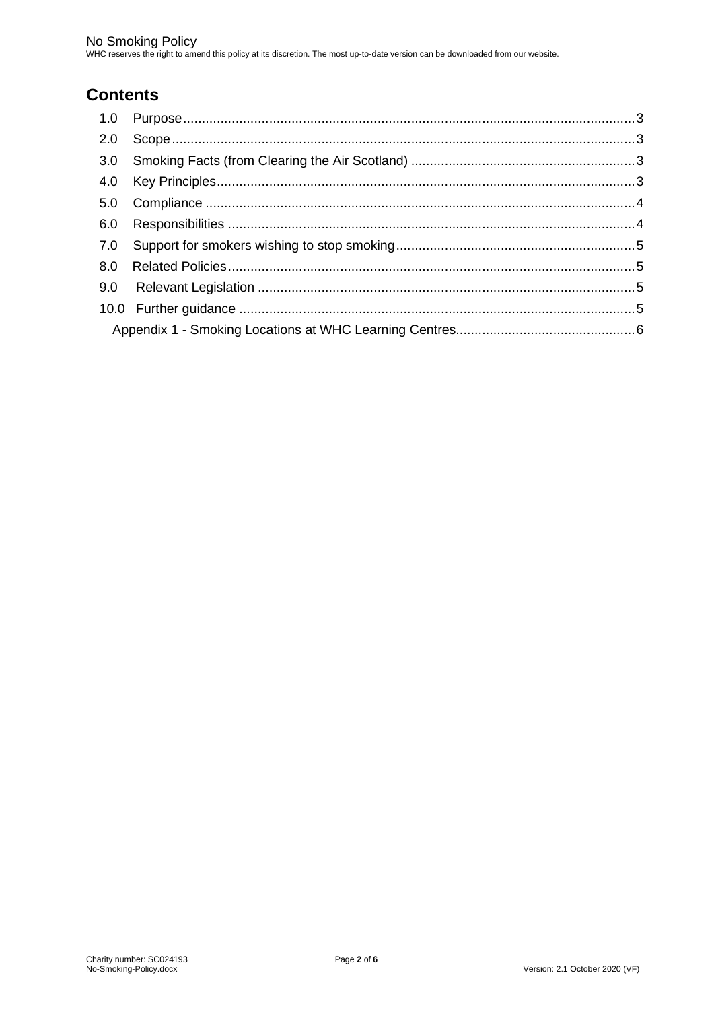# **Contents**

| 2.0 |  |  |
|-----|--|--|
| 3.0 |  |  |
|     |  |  |
|     |  |  |
| 6.0 |  |  |
| 7.0 |  |  |
|     |  |  |
|     |  |  |
|     |  |  |
|     |  |  |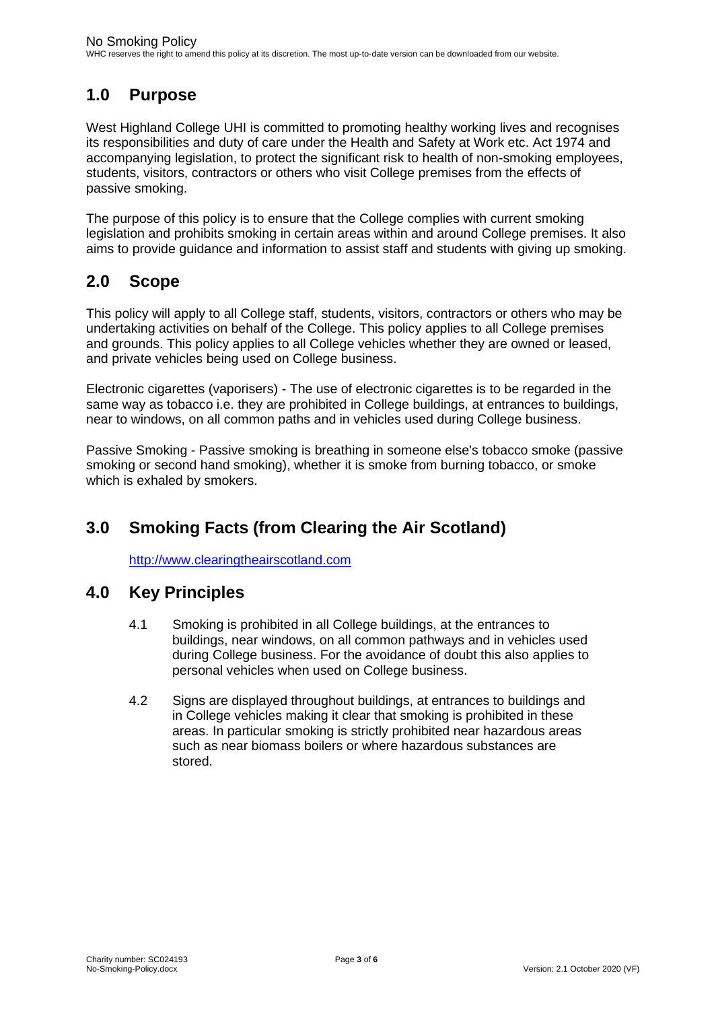### <span id="page-2-0"></span>**1.0 Purpose**

West Highland College UHI is committed to promoting healthy working lives and recognises its responsibilities and duty of care under the Health and Safety at Work etc. Act 1974 and accompanying legislation, to protect the significant risk to health of non-smoking employees, students, visitors, contractors or others who visit College premises from the effects of passive smoking.

The purpose of this policy is to ensure that the College complies with current smoking legislation and prohibits smoking in certain areas within and around College premises. It also aims to provide guidance and information to assist staff and students with giving up smoking.

#### <span id="page-2-1"></span>**2.0 Scope**

This policy will apply to all College staff, students, visitors, contractors or others who may be undertaking activities on behalf of the College. This policy applies to all College premises and grounds. This policy applies to all College vehicles whether they are owned or leased, and private vehicles being used on College business.

Electronic cigarettes (vaporisers) - The use of electronic cigarettes is to be regarded in the same way as tobacco i.e. they are prohibited in College buildings, at entrances to buildings, near to windows, on all common paths and in vehicles used during College business.

Passive Smoking - Passive smoking is breathing in someone else's tobacco smoke (passive smoking or second hand smoking), whether it is smoke from burning tobacco, or smoke which is exhaled by smokers.

## <span id="page-2-2"></span>**3.0 Smoking Facts (from Clearing the Air Scotland)**

[http://www.clearingtheairscotland.com](http://www.clearingtheairscotland.com/)

#### <span id="page-2-3"></span>**4.0 Key Principles**

- 4.1 Smoking is prohibited in all College buildings, at the entrances to buildings, near windows, on all common pathways and in vehicles used during College business. For the avoidance of doubt this also applies to personal vehicles when used on College business.
- 4.2 Signs are displayed throughout buildings, at entrances to buildings and in College vehicles making it clear that smoking is prohibited in these areas. In particular smoking is strictly prohibited near hazardous areas such as near biomass boilers or where hazardous substances are stored.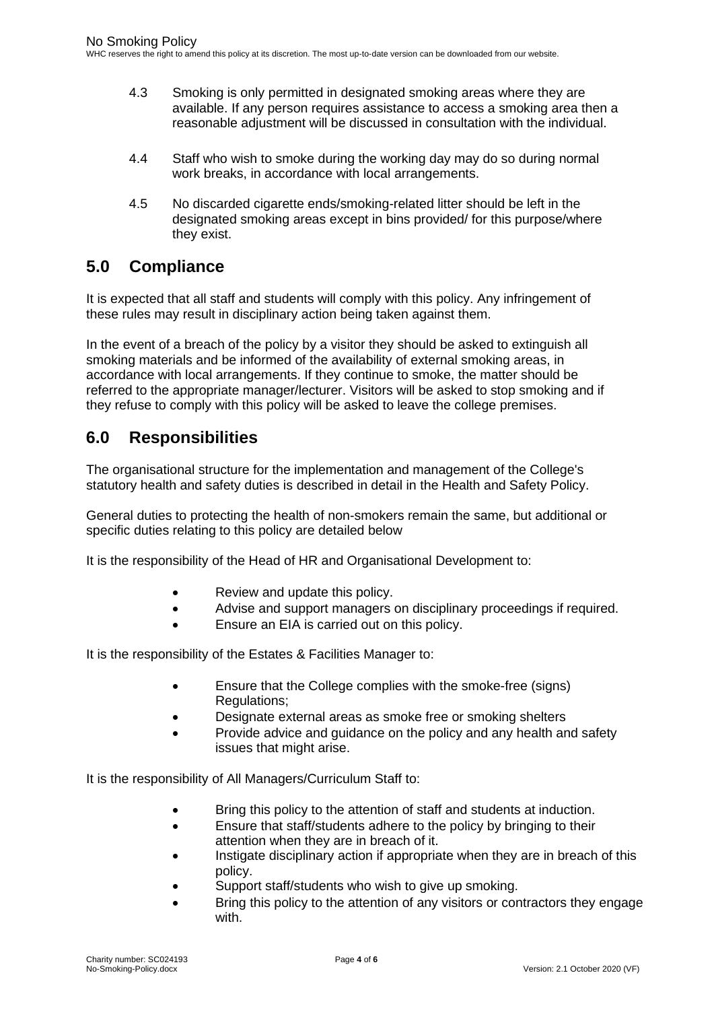- 4.3 Smoking is only permitted in designated smoking areas where they are available. If any person requires assistance to access a smoking area then a reasonable adjustment will be discussed in consultation with the individual.
- 4.4 Staff who wish to smoke during the working day may do so during normal work breaks, in accordance with local arrangements.
- 4.5 No discarded cigarette ends/smoking-related litter should be left in the designated smoking areas except in bins provided/ for this purpose/where they exist.

#### <span id="page-3-0"></span>**5.0 Compliance**

It is expected that all staff and students will comply with this policy. Any infringement of these rules may result in disciplinary action being taken against them.

In the event of a breach of the policy by a visitor they should be asked to extinguish all smoking materials and be informed of the availability of external smoking areas, in accordance with local arrangements. If they continue to smoke, the matter should be referred to the appropriate manager/lecturer. Visitors will be asked to stop smoking and if they refuse to comply with this policy will be asked to leave the college premises.

#### <span id="page-3-1"></span>**6.0 Responsibilities**

The organisational structure for the implementation and management of the College's statutory health and safety duties is described in detail in the Health and Safety Policy.

General duties to protecting the health of non-smokers remain the same, but additional or specific duties relating to this policy are detailed below

It is the responsibility of the Head of HR and Organisational Development to:

- Review and update this policy.
- Advise and support managers on disciplinary proceedings if required.
- Ensure an EIA is carried out on this policy.

It is the responsibility of the Estates & Facilities Manager to:

- Ensure that the College complies with the smoke-free (signs) Regulations;
- Designate external areas as smoke free or smoking shelters
- Provide advice and guidance on the policy and any health and safety issues that might arise.

It is the responsibility of All Managers/Curriculum Staff to:

- Bring this policy to the attention of staff and students at induction.
- Ensure that staff/students adhere to the policy by bringing to their attention when they are in breach of it.
- Instigate disciplinary action if appropriate when they are in breach of this policy.
- Support staff/students who wish to give up smoking.
- Bring this policy to the attention of any visitors or contractors they engage with.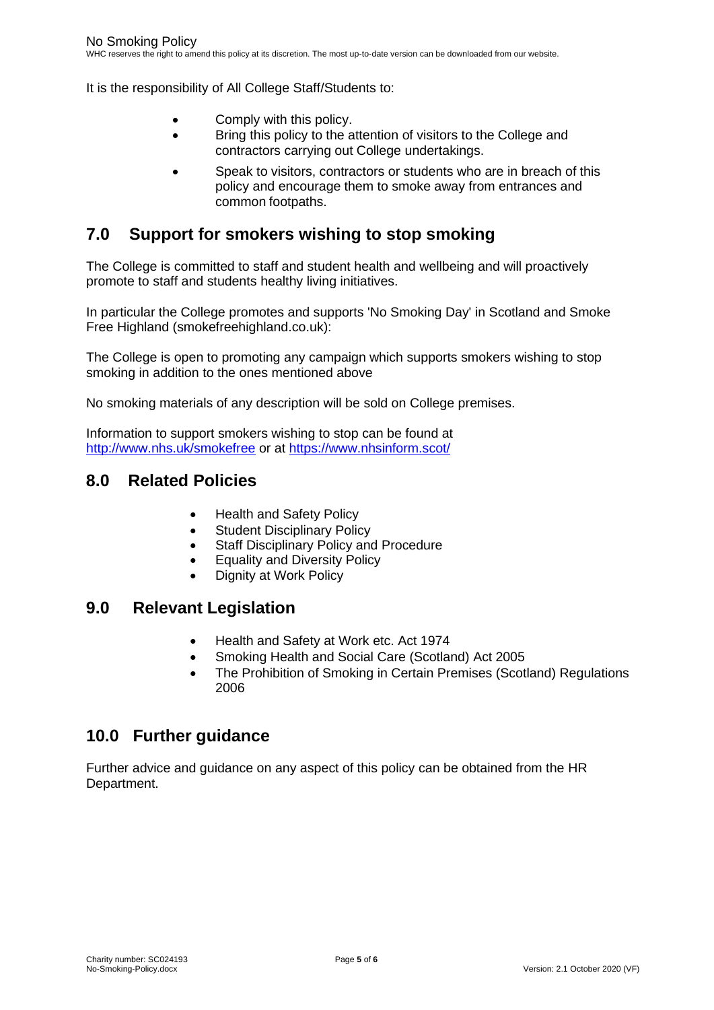It is the responsibility of All College Staff/Students to:

- Comply with this policy.
- Bring this policy to the attention of visitors to the College and contractors carrying out College undertakings.
- Speak to visitors, contractors or students who are in breach of this policy and encourage them to smoke away from entrances and common footpaths.

#### <span id="page-4-0"></span>**7.0 Support for smokers wishing to stop smoking**

The College is committed to staff and student health and wellbeing and will proactively promote to staff and students healthy living initiatives.

In particular the College promotes and supports 'No Smoking Day' in Scotland and Smoke Free Highland (smokefreehighland.co.uk):

The College is open to promoting any campaign which supports smokers wishing to stop smoking in addition to the ones mentioned above

No smoking materials of any description will be sold on College premises.

Information to support smokers wishing to stop can be found at <http://www.nhs.uk/smokefree> or at<https://www.nhsinform.scot/>

#### <span id="page-4-1"></span>**8.0 Related Policies**

- Health and Safety Policy
- Student Disciplinary Policy
- Staff Disciplinary Policy and Procedure
- Equality and Diversity Policy
- Dignity at Work Policy

#### <span id="page-4-2"></span>**9.0 Relevant Legislation**

- Health and Safety at Work etc. Act 1974
- Smoking Health and Social Care (Scotland) Act 2005
- The Prohibition of Smoking in Certain Premises (Scotland) Regulations 2006

#### <span id="page-4-3"></span>**10.0 Further guidance**

Further advice and guidance on any aspect of this policy can be obtained from the HR Department.